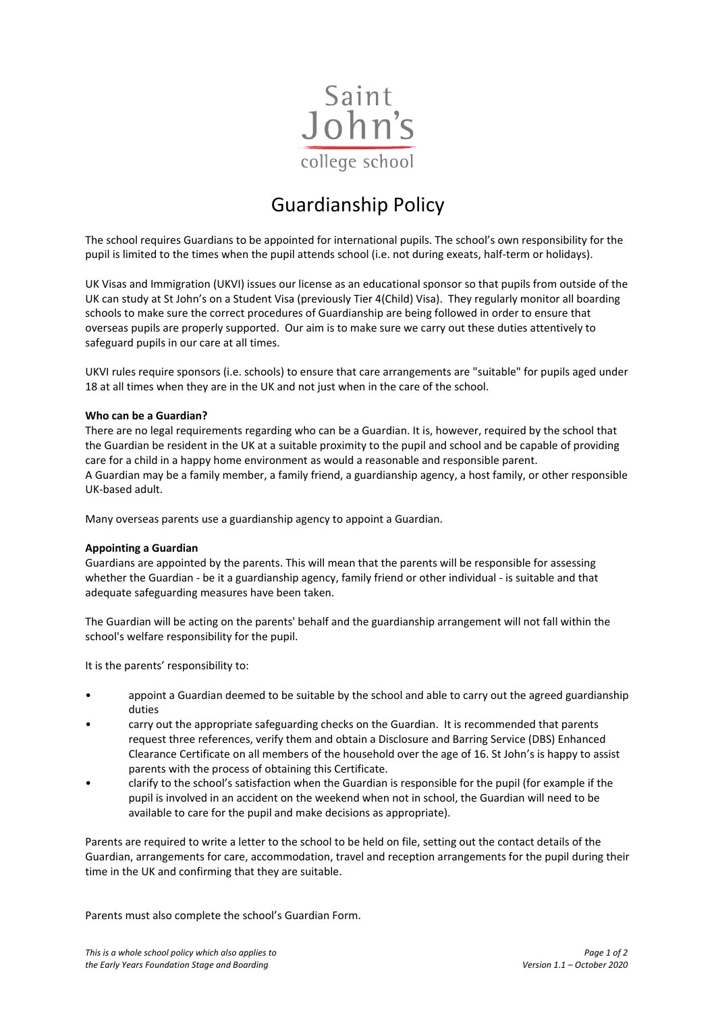

## Guardianship Policy

The school requires Guardians to be appointed for international pupils. The school's own responsibility for the pupil is limited to the times when the pupil attends school (i.e. not during exeats, half-term or holidays).

UK Visas and Immigration (UKVI) issues our license as an educational sponsor so that pupils from outside of the UK can study at St John's on a Student Visa (previously Tier 4(Child) Visa). They regularly monitor all boarding schools to make sure the correct procedures of Guardianship are being followed in order to ensure that overseas pupils are properly supported. Our aim is to make sure we carry out these duties attentively to safeguard pupils in our care at all times.

UKVI rules require sponsors (i.e. schools) to ensure that care arrangements are "suitable" for pupils aged under 18 at all times when they are in the UK and not just when in the care of the school.

## **Who can be a Guardian?**

There are no legal requirements regarding who can be a Guardian. It is, however, required by the school that the Guardian be resident in the UK at a suitable proximity to the pupil and school and be capable of providing care for a child in a happy home environment as would a reasonable and responsible parent. A Guardian may be a family member, a family friend, a guardianship agency, a host family, or other responsible UK-based adult.

Many overseas parents use a guardianship agency to appoint a Guardian.

## **Appointing a Guardian**

Guardians are appointed by the parents. This will mean that the parents will be responsible for assessing whether the Guardian - be it a guardianship agency, family friend or other individual - is suitable and that adequate safeguarding measures have been taken.

The Guardian will be acting on the parents' behalf and the guardianship arrangement will not fall within the school's welfare responsibility for the pupil.

It is the parents' responsibility to:

- appoint a Guardian deemed to be suitable by the school and able to carry out the agreed guardianship duties
- carry out the appropriate safeguarding checks on the Guardian. It is recommended that parents request three references, verify them and obtain a Disclosure and Barring Service (DBS) Enhanced Clearance Certificate on all members of the household over the age of 16. St John's is happy to assist parents with the process of obtaining this Certificate.
- clarify to the school's satisfaction when the Guardian is responsible for the pupil (for example if the pupil is involved in an accident on the weekend when not in school, the Guardian will need to be available to care for the pupil and make decisions as appropriate).

Parents are required to write a letter to the school to be held on file, setting out the contact details of the Guardian, arrangements for care, accommodation, travel and reception arrangements for the pupil during their time in the UK and confirming that they are suitable.

Parents must also complete the school's Guardian Form.